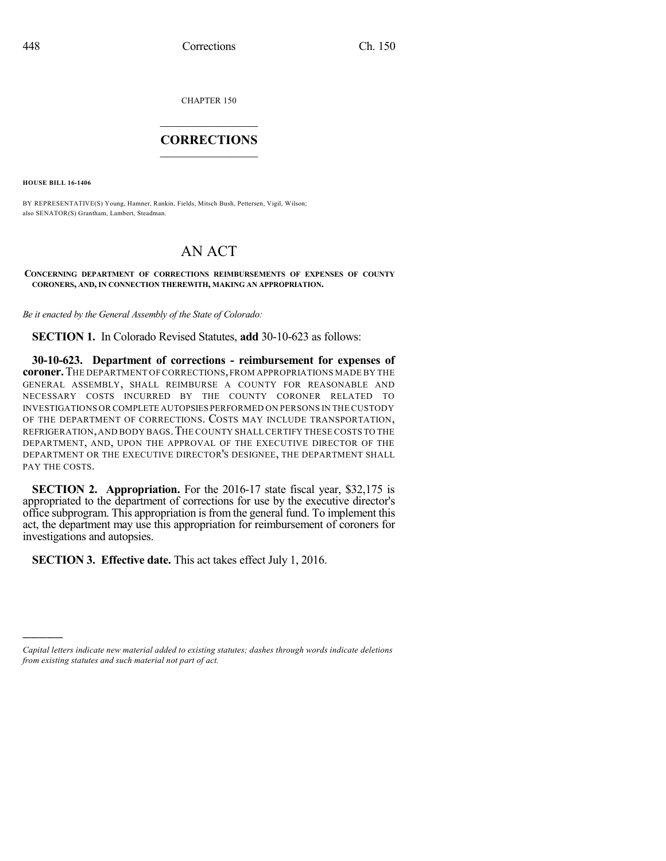CHAPTER 150

## $\mathcal{L}_\text{max}$  . The set of the set of the set of the set of the set of the set of the set of the set of the set of the set of the set of the set of the set of the set of the set of the set of the set of the set of the set **CORRECTIONS**  $\frac{1}{2}$  ,  $\frac{1}{2}$  ,  $\frac{1}{2}$  ,  $\frac{1}{2}$  ,  $\frac{1}{2}$  ,  $\frac{1}{2}$

**HOUSE BILL 16-1406**

)))))

BY REPRESENTATIVE(S) Young, Hamner, Rankin, Fields, Mitsch Bush, Pettersen, Vigil, Wilson; also SENATOR(S) Grantham, Lambert, Steadman.

## AN ACT

## **CONCERNING DEPARTMENT OF CORRECTIONS REIMBURSEMENTS OF EXPENSES OF COUNTY CORONERS, AND, IN CONNECTION THEREWITH, MAKING AN APPROPRIATION.**

*Be it enacted by the General Assembly of the State of Colorado:*

**SECTION 1.** In Colorado Revised Statutes, **add** 30-10-623 as follows:

**30-10-623. Department of corrections - reimbursement for expenses of coroner.**THE DEPARTMENT OF CORRECTIONS,FROM APPROPRIATIONS MADE BY THE GENERAL ASSEMBLY, SHALL REIMBURSE A COUNTY FOR REASONABLE AND NECESSARY COSTS INCURRED BY THE COUNTY CORONER RELATED TO INVESTIGATIONS OR COMPLETE AUTOPSIES PERFORMED ON PERSONS IN THE CUSTODY OF THE DEPARTMENT OF CORRECTIONS. COSTS MAY INCLUDE TRANSPORTATION, REFRIGERATION,AND BODY BAGS.THE COUNTY SHALLCERTIFY THESE COSTS TO THE DEPARTMENT, AND, UPON THE APPROVAL OF THE EXECUTIVE DIRECTOR OF THE DEPARTMENT OR THE EXECUTIVE DIRECTOR'S DESIGNEE, THE DEPARTMENT SHALL PAY THE COSTS.

**SECTION 2. Appropriation.** For the 2016-17 state fiscal year, \$32,175 is appropriated to the department of corrections for use by the executive director's office subprogram. This appropriation isfrom the general fund. To implement this act, the department may use this appropriation for reimbursement of coroners for investigations and autopsies.

**SECTION 3. Effective date.** This act takes effect July 1, 2016.

*Capital letters indicate new material added to existing statutes; dashes through words indicate deletions from existing statutes and such material not part of act.*